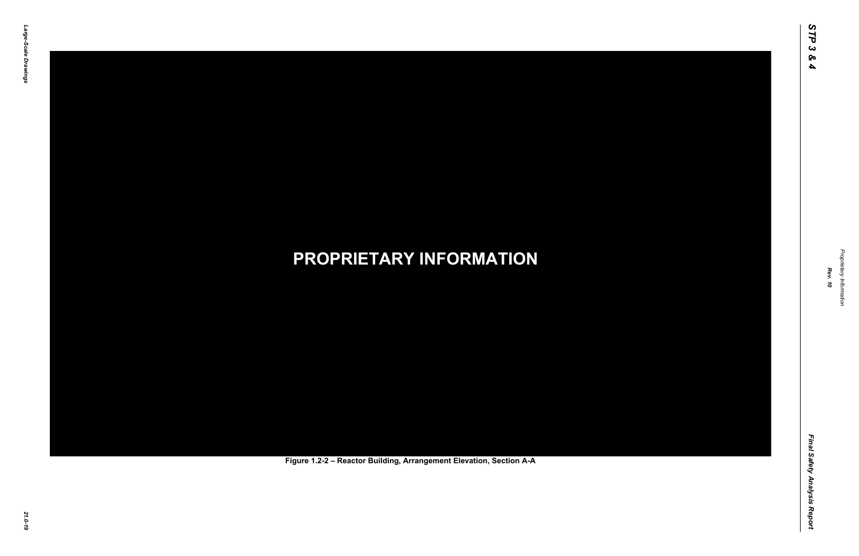Final Safety Analysis Report *Final Safety Analysis Report*



Proprietary Information *Proprietary Information*

#### *21.0-19* **PROPRIETARY INFORMATION Figure 1.2-2 – Reactor Building, Arrangement Elevation, Section A-A**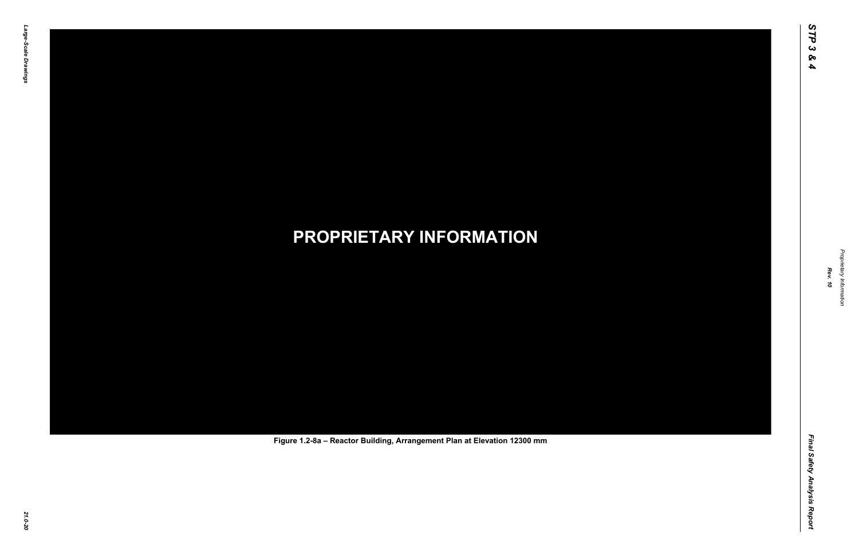Final Safety Analysis Report *Final Safety Analysis Report*

Proprietary Information *Proprietary Information*

# *21.0-20* **PROPRIETARY INFORMATION Figure 1.2-8a – Reactor Building, Arrangement Plan at Elevation 12300 mm**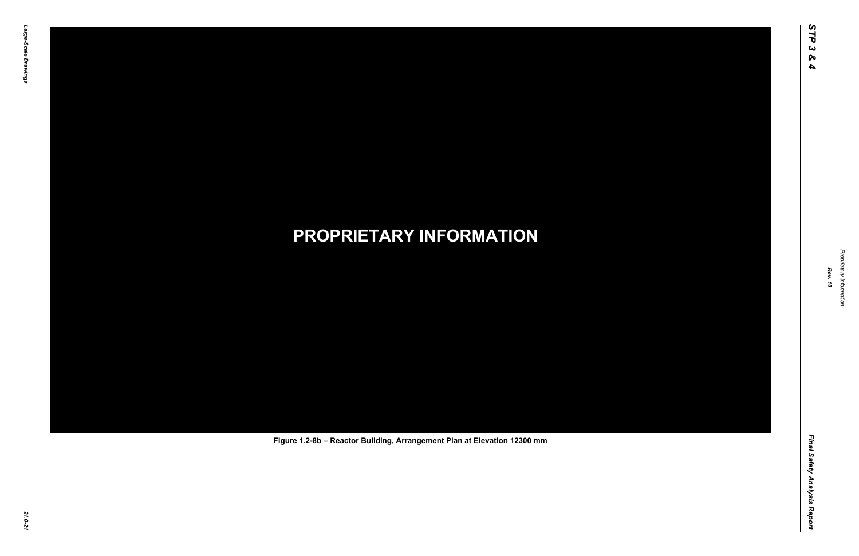Final Safety Analysis Report *Final Safety Analysis Report*



Proprietary Information *Proprietary Information*

# *21.0-21* **PROPRIETARY INFORMATION Figure 1.2-8b – Reactor Building, Arrangement Plan at Elevation 12300 mm**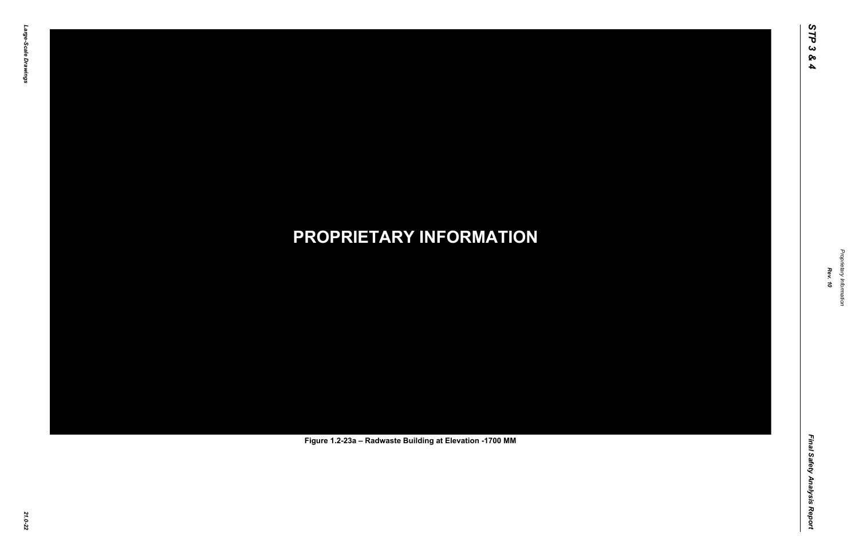Final Safety Analysis Report *Final Safety Analysis Report*

Proprietary Information *Proprietary Information*

# *21.0-22* **PROPRIETARY INFORMATION Figure 1.2-23a – Radwaste Building at Elevation -1700 MM**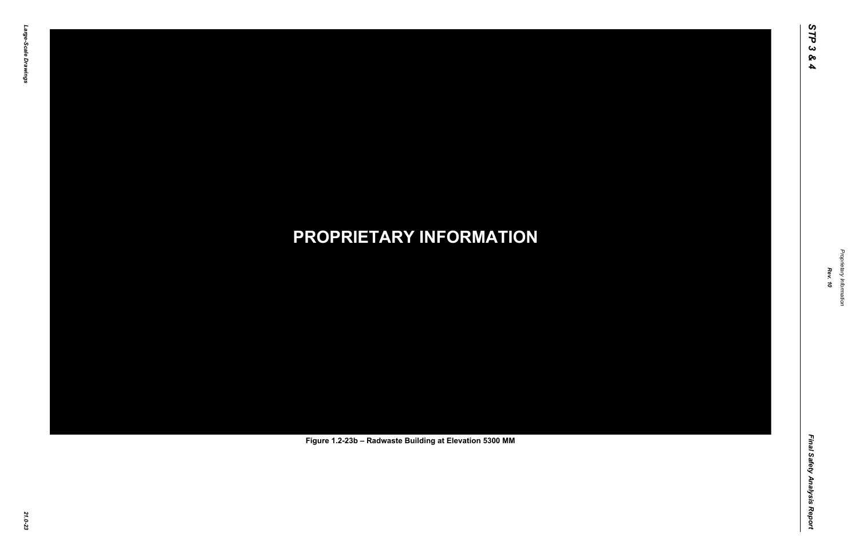Final Safety Analysis Report *Final Safety Analysis Report*

Proprietary Information *Proprietary Information*

# *21.0-23* **PROPRIETARY INFORMATION Figure 1.2-23b – Radwaste Building at Elevation 5300 MM**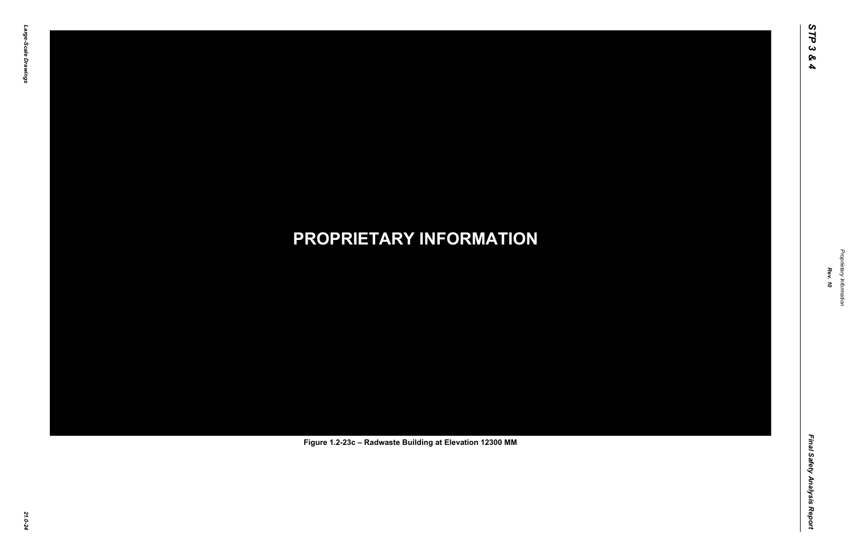Final Safety Analysis Report *Final Safety Analysis Report*



Proprietary Information *Proprietary Information*

# *21.0-24* **PROPRIETARY INFORMATION Figure 1.2-23c – Radwaste Building at Elevation 12300 MM**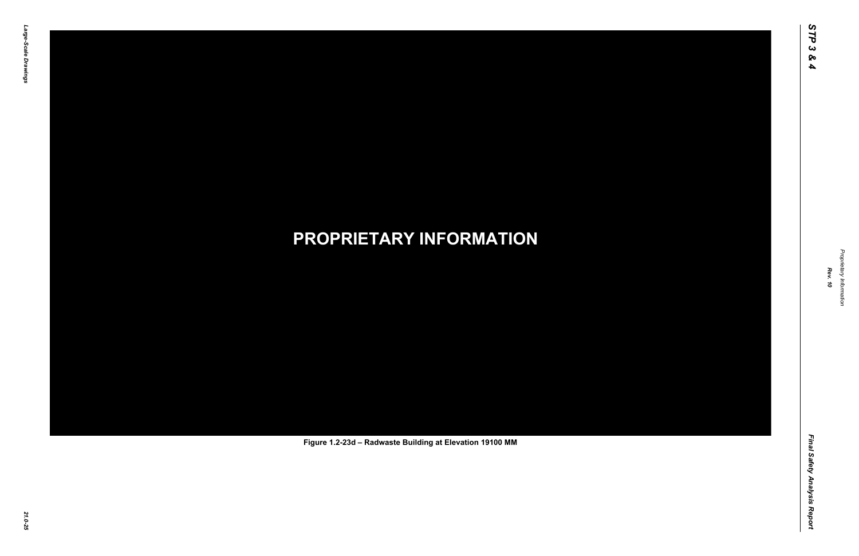Final Safety Analysis Report *Final Safety Analysis Report*



Proprietary Information *Proprietary Information*

# *21.0-25* **PROPRIETARY INFORMATION Figure 1.2-23d – Radwaste Building at Elevation 19100 MM**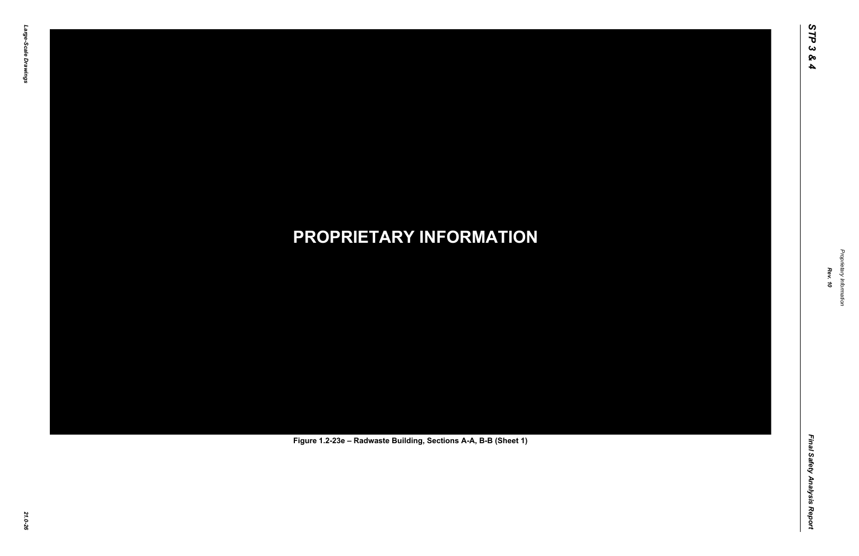Final Safety Analysis Report *Final Safety Analysis Report*

Proprietary Information *Proprietary Information*

# *21.0-26* **PROPRIETARY INFORMATION Figure 1.2-23e – Radwaste Building, Sections A-A, B-B (Sheet 1)**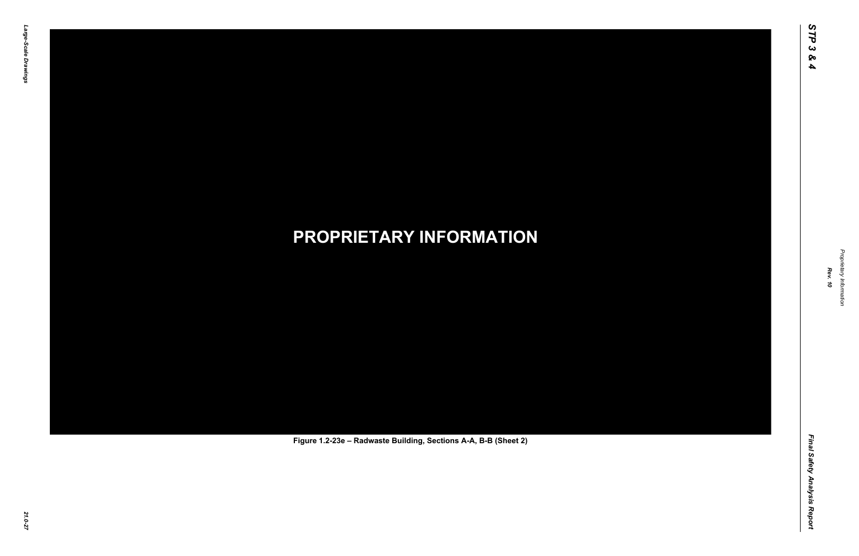Final Safety Analysis Report *Final Safety Analysis Report*

Proprietary Information *Proprietary Information*

# *21.0-27* **PROPRIETARY INFORMATION Figure 1.2-23e – Radwaste Building, Sections A-A, B-B (Sheet 2)**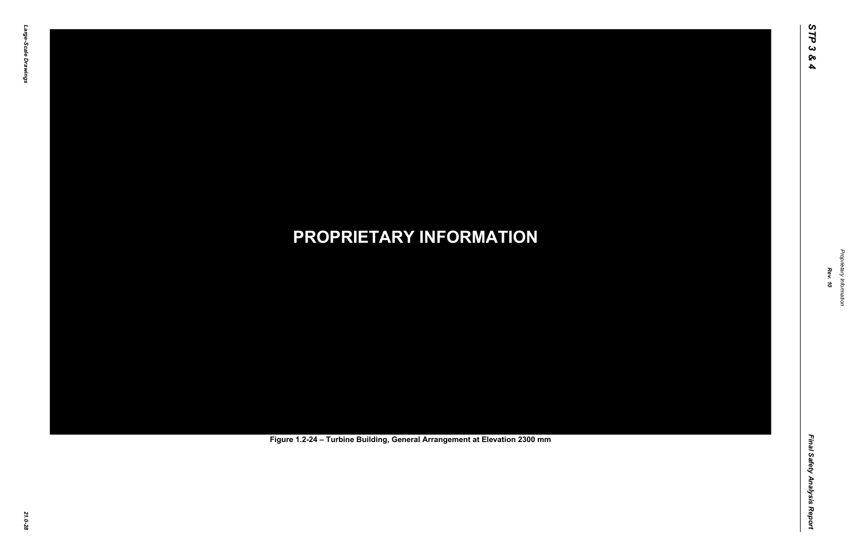Final Safety Analysis Report *Final Safety Analysis Report*

Proprietary Information *Proprietary Information*

# *21.0-28* **PROPRIETARY INFORMATION Figure 1.2-24 – Turbine Building, General Arrangement at Elevation 2300 mm**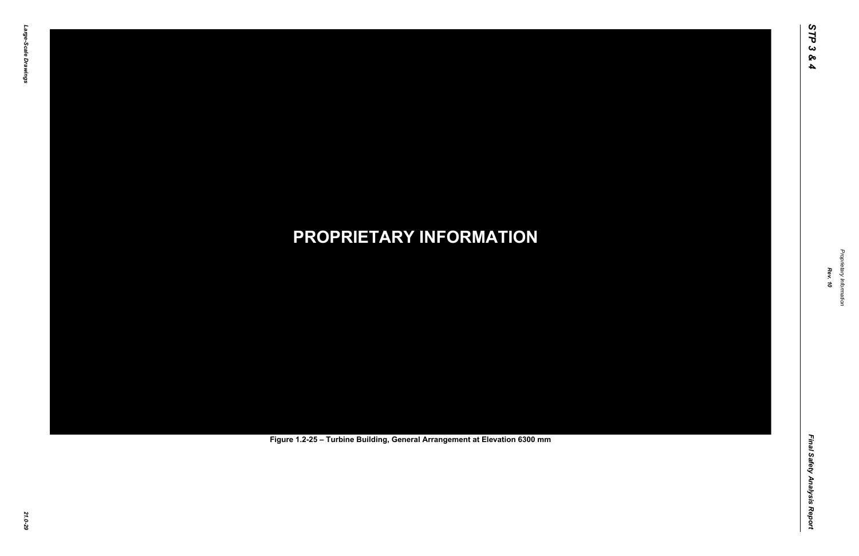Final Safety Analysis Report *Final Safety Analysis Report*

Proprietary Information *Proprietary Information*

# *21.0-29* **PROPRIETARY INFORMATION Figure 1.2-25 – Turbine Building, General Arrangement at Elevation 6300 mm**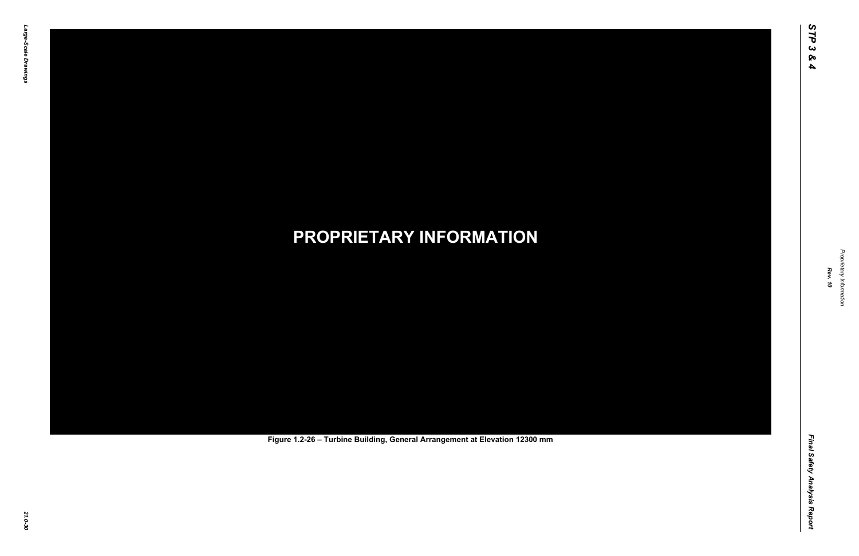Final Safety Analysis Report *Final Safety Analysis Report*

Proprietary Information *Proprietary Information*

# *21.0-30* **PROPRIETARY INFORMATION Figure 1.2-26 – Turbine Building, General Arrangement at Elevation 12300 mm**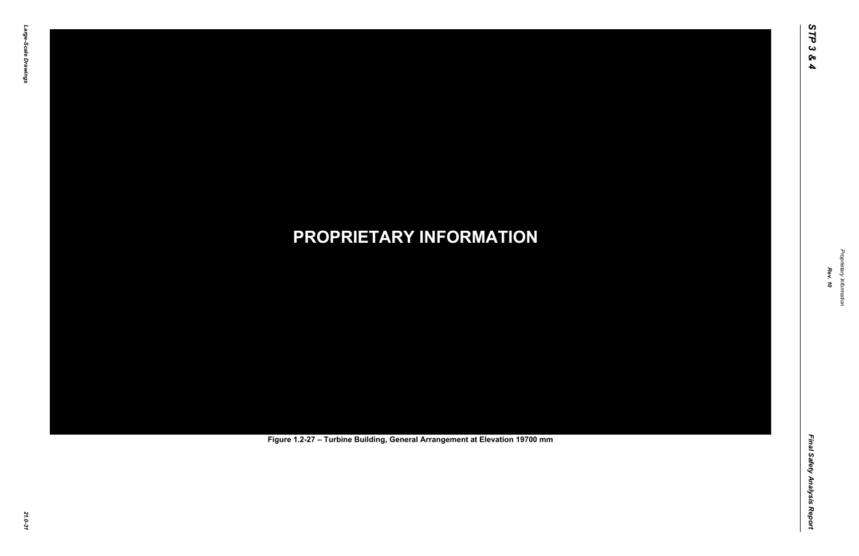Final Safety Analysis Report *Final Safety Analysis Report*

Proprietary Information *Proprietary Information*

# *21.0-31* **PROPRIETARY INFORMATION Figure 1.2-27 – Turbine Building, General Arrangement at Elevation 19700 mm**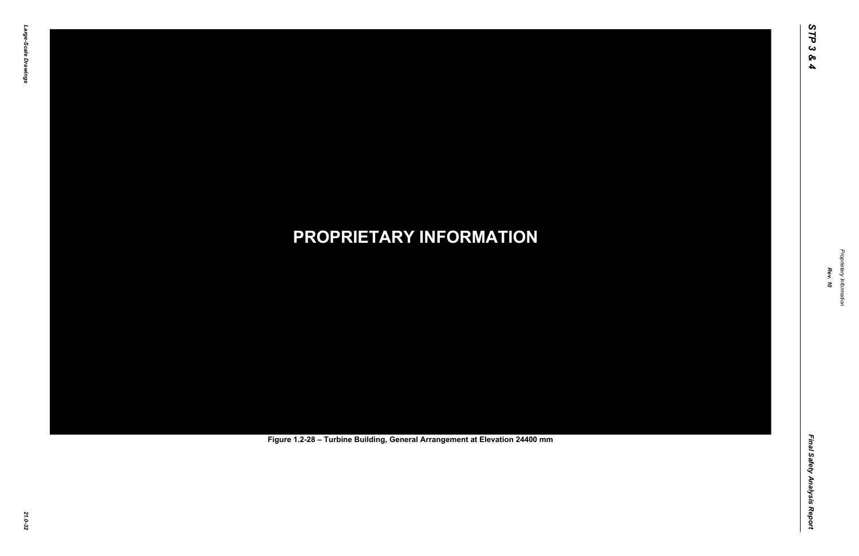Final Safety Analysis Report *Final Safety Analysis Report*

Proprietary Information *Proprietary Information*

# *21.0-32* **PROPRIETARY INFORMATION Figure 1.2-28 – Turbine Building, General Arrangement at Elevation 24400 mm**